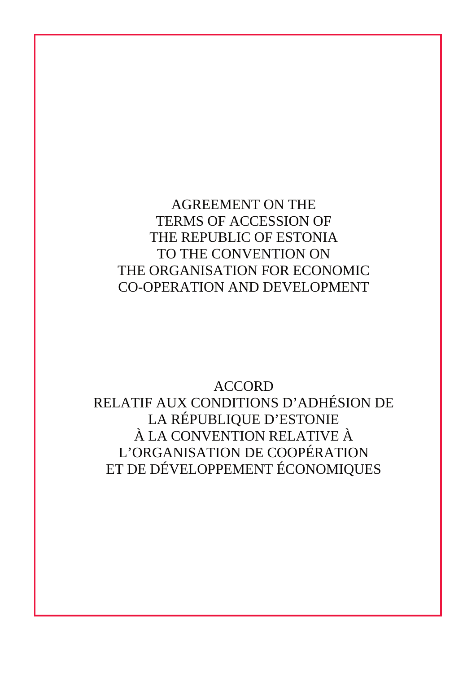AGREEMENT ON THE TERMS OF ACCESSION OF THE REPUBLIC OF ESTONIA TO THE CONVENTION ON THE ORGANISATION FOR ECONOMIC CO-OPERATION AND DEVELOPMENT

ACCORD RELATIF AUX CONDITIONS D'ADHÉSION DE LA RÉPUBLIQUE D'ESTONIE À LA CONVENTION RELATIVE À L'ORGANISATION DE COOPÉRATION ET DE DÉVELOPPEMENT ÉCONOMIQUES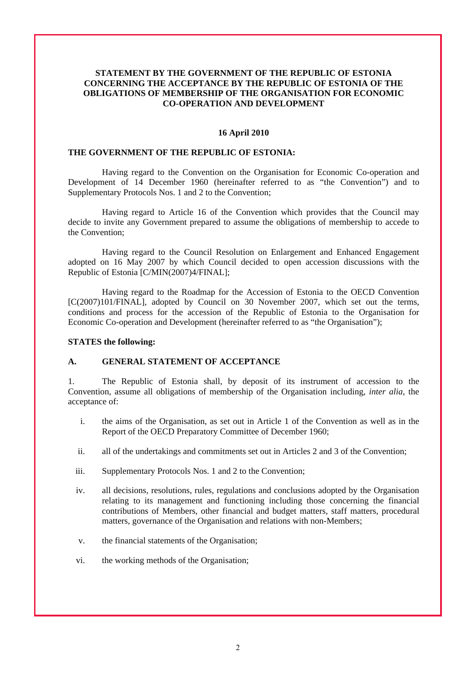### **STATEMENT BY THE GOVERNMENT OF THE REPUBLIC OF ESTONIA CONCERNING THE ACCEPTANCE BY THE REPUBLIC OF ESTONIA OF THE OBLIGATIONS OF MEMBERSHIP OF THE ORGANISATION FOR ECONOMIC CO-OPERATION AND DEVELOPMENT**

#### **16 April 2010**

#### **THE GOVERNMENT OF THE REPUBLIC OF ESTONIA:**

Having regard to the Convention on the Organisation for Economic Co-operation and Development of 14 December 1960 (hereinafter referred to as "the Convention") and to Supplementary Protocols Nos. 1 and 2 to the Convention;

Having regard to Article 16 of the Convention which provides that the Council may decide to invite any Government prepared to assume the obligations of membership to accede to the Convention;

Having regard to the Council Resolution on Enlargement and Enhanced Engagement adopted on 16 May 2007 by which Council decided to open accession discussions with the Republic of Estonia [C/MIN(2007)4/FINAL];

Having regard to the Roadmap for the Accession of Estonia to the OECD Convention [C(2007)101/FINAL], adopted by Council on 30 November 2007, which set out the terms, conditions and process for the accession of the Republic of Estonia to the Organisation for Economic Co-operation and Development (hereinafter referred to as "the Organisation");

#### **STATES the following:**

#### **A. GENERAL STATEMENT OF ACCEPTANCE**

1. The Republic of Estonia shall, by deposit of its instrument of accession to the Convention, assume all obligations of membership of the Organisation including, *inter alia*, the acceptance of:

- i. the aims of the Organisation, as set out in Article 1 of the Convention as well as in the Report of the OECD Preparatory Committee of December 1960;
- ii. all of the undertakings and commitments set out in Articles 2 and 3 of the Convention;
- iii. Supplementary Protocols Nos. 1 and 2 to the Convention;
- iv. all decisions, resolutions, rules, regulations and conclusions adopted by the Organisation relating to its management and functioning including those concerning the financial contributions of Members, other financial and budget matters, staff matters, procedural matters, governance of the Organisation and relations with non-Members;
- v. the financial statements of the Organisation;
- vi. the working methods of the Organisation;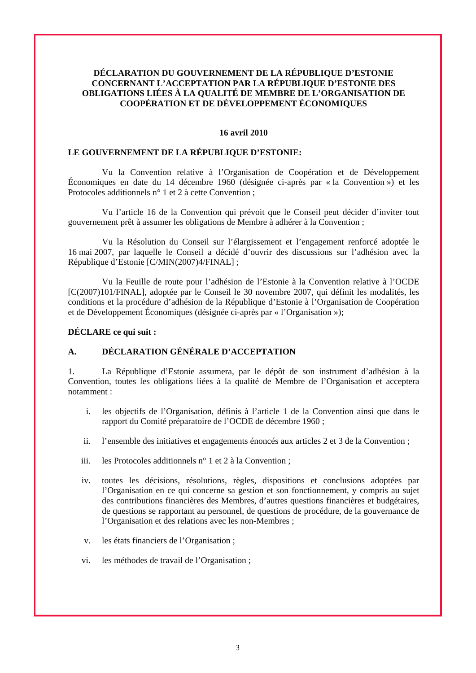### **DÉCLARATION DU GOUVERNEMENT DE LA RÉPUBLIQUE D'ESTONIE CONCERNANT L'ACCEPTATION PAR LA RÉPUBLIQUE D'ESTONIE DES OBLIGATIONS LIÉES À LA QUALITÉ DE MEMBRE DE L'ORGANISATION DE COOPÉRATION ET DE DÉVELOPPEMENT ÉCONOMIQUES**

#### **16 avril 2010**

### **LE GOUVERNEMENT DE LA RÉPUBLIQUE D'ESTONIE:**

Vu la Convention relative à l'Organisation de Coopération et de Développement Économiques en date du 14 décembre 1960 (désignée ci-après par « la Convention ») et les Protocoles additionnels n° 1 et 2 à cette Convention ;

Vu l'article 16 de la Convention qui prévoit que le Conseil peut décider d'inviter tout gouvernement prêt à assumer les obligations de Membre à adhérer à la Convention ;

Vu la Résolution du Conseil sur l'élargissement et l'engagement renforcé adoptée le 16 mai 2007, par laquelle le Conseil a décidé d'ouvrir des discussions sur l'adhésion avec la République d'Estonie [C/MIN(2007)4/FINAL] ;

Vu la Feuille de route pour l'adhésion de l'Estonie à la Convention relative à l'OCDE [C(2007)101/FINAL], adoptée par le Conseil le 30 novembre 2007, qui définit les modalités, les conditions et la procédure d'adhésion de la République d'Estonie à l'Organisation de Coopération et de Développement Économiques (désignée ci-après par « l'Organisation »);

#### **DÉCLARE ce qui suit :**

## **A. DÉCLARATION GÉNÉRALE D'ACCEPTATION**

1. La République d'Estonie assumera, par le dépôt de son instrument d'adhésion à la Convention, toutes les obligations liées à la qualité de Membre de l'Organisation et acceptera notamment :

- i. les objectifs de l'Organisation, définis à l'article 1 de la Convention ainsi que dans le rapport du Comité préparatoire de l'OCDE de décembre 1960 ;
- ii. l'ensemble des initiatives et engagements énoncés aux articles 2 et 3 de la Convention ;
- iii. les Protocoles additionnels n° 1 et 2 à la Convention ;
- iv. toutes les décisions, résolutions, règles, dispositions et conclusions adoptées par l'Organisation en ce qui concerne sa gestion et son fonctionnement, y compris au sujet des contributions financières des Membres, d'autres questions financières et budgétaires, de questions se rapportant au personnel, de questions de procédure, de la gouvernance de l'Organisation et des relations avec les non-Membres ;
- v. les états financiers de l'Organisation ;
- vi. les méthodes de travail de l'Organisation ;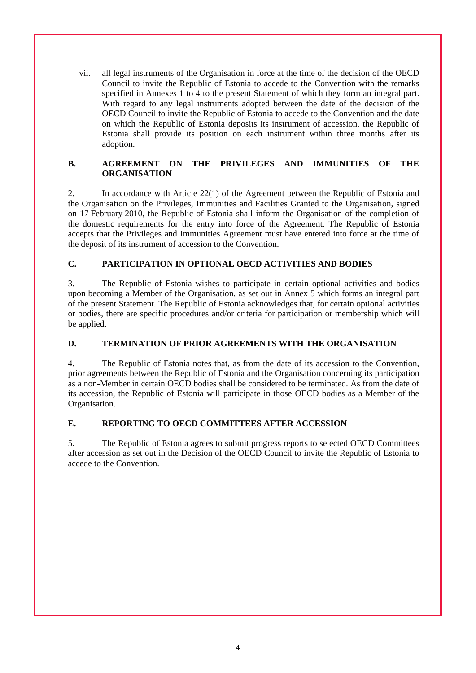vii. all legal instruments of the Organisation in force at the time of the decision of the OECD Council to invite the Republic of Estonia to accede to the Convention with the remarks specified in Annexes 1 to 4 to the present Statement of which they form an integral part. With regard to any legal instruments adopted between the date of the decision of the OECD Council to invite the Republic of Estonia to accede to the Convention and the date on which the Republic of Estonia deposits its instrument of accession, the Republic of Estonia shall provide its position on each instrument within three months after its adoption.

### **B. AGREEMENT ON THE PRIVILEGES AND IMMUNITIES OF THE ORGANISATION**

2. In accordance with Article 22(1) of the Agreement between the Republic of Estonia and the Organisation on the Privileges, Immunities and Facilities Granted to the Organisation, signed on 17 February 2010, the Republic of Estonia shall inform the Organisation of the completion of the domestic requirements for the entry into force of the Agreement. The Republic of Estonia accepts that the Privileges and Immunities Agreement must have entered into force at the time of the deposit of its instrument of accession to the Convention.

### **C. PARTICIPATION IN OPTIONAL OECD ACTIVITIES AND BODIES**

3. The Republic of Estonia wishes to participate in certain optional activities and bodies upon becoming a Member of the Organisation, as set out in Annex 5 which forms an integral part of the present Statement. The Republic of Estonia acknowledges that, for certain optional activities or bodies, there are specific procedures and/or criteria for participation or membership which will be applied.

### **D. TERMINATION OF PRIOR AGREEMENTS WITH THE ORGANISATION**

4. The Republic of Estonia notes that, as from the date of its accession to the Convention, prior agreements between the Republic of Estonia and the Organisation concerning its participation as a non-Member in certain OECD bodies shall be considered to be terminated. As from the date of its accession, the Republic of Estonia will participate in those OECD bodies as a Member of the Organisation.

### **E. REPORTING TO OECD COMMITTEES AFTER ACCESSION**

5. The Republic of Estonia agrees to submit progress reports to selected OECD Committees after accession as set out in the Decision of the OECD Council to invite the Republic of Estonia to accede to the Convention.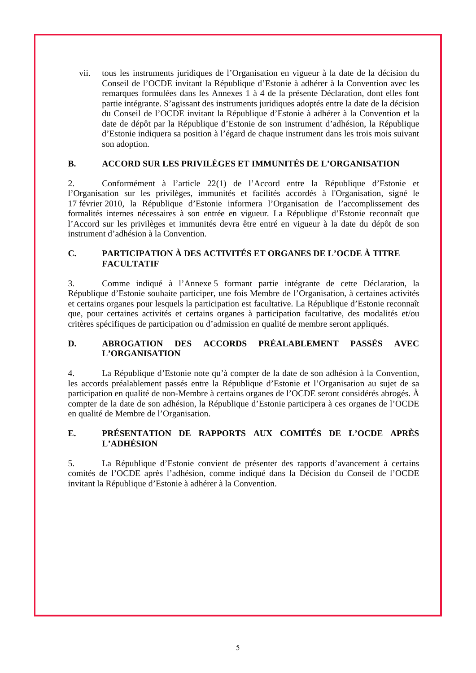vii. tous les instruments juridiques de l'Organisation en vigueur à la date de la décision du Conseil de l'OCDE invitant la République d'Estonie à adhérer à la Convention avec les remarques formulées dans les Annexes 1 à 4 de la présente Déclaration, dont elles font partie intégrante. S'agissant des instruments juridiques adoptés entre la date de la décision du Conseil de l'OCDE invitant la République d'Estonie à adhérer à la Convention et la date de dépôt par la République d'Estonie de son instrument d'adhésion, la République d'Estonie indiquera sa position à l'égard de chaque instrument dans les trois mois suivant son adoption.

### **B. ACCORD SUR LES PRIVILÈGES ET IMMUNITÉS DE L'ORGANISATION**

2. Conformément à l'article 22(1) de l'Accord entre la République d'Estonie et l'Organisation sur les privilèges, immunités et facilités accordés à l'Organisation, signé le 17 février 2010, la République d'Estonie informera l'Organisation de l'accomplissement des formalités internes nécessaires à son entrée en vigueur. La République d'Estonie reconnaît que l'Accord sur les privilèges et immunités devra être entré en vigueur à la date du dépôt de son instrument d'adhésion à la Convention.

### **C. PARTICIPATION À DES ACTIVITÉS ET ORGANES DE L'OCDE À TITRE FACULTATIF**

3. Comme indiqué à l'Annexe 5 formant partie intégrante de cette Déclaration, la République d'Estonie souhaite participer, une fois Membre de l'Organisation, à certaines activités et certains organes pour lesquels la participation est facultative. La République d'Estonie reconnaît que, pour certaines activités et certains organes à participation facultative, des modalités et/ou critères spécifiques de participation ou d'admission en qualité de membre seront appliqués.

### **D. ABROGATION DES ACCORDS PRÉALABLEMENT PASSÉS AVEC L'ORGANISATION**

4. La République d'Estonie note qu'à compter de la date de son adhésion à la Convention, les accords préalablement passés entre la République d'Estonie et l'Organisation au sujet de sa participation en qualité de non-Membre à certains organes de l'OCDE seront considérés abrogés. À compter de la date de son adhésion, la République d'Estonie participera à ces organes de l'OCDE en qualité de Membre de l'Organisation.

## **E. PRÉSENTATION DE RAPPORTS AUX COMITÉS DE L'OCDE APRÈS L'ADHÉSION**

5. La République d'Estonie convient de présenter des rapports d'avancement à certains comités de l'OCDE après l'adhésion, comme indiqué dans la Décision du Conseil de l'OCDE invitant la République d'Estonie à adhérer à la Convention.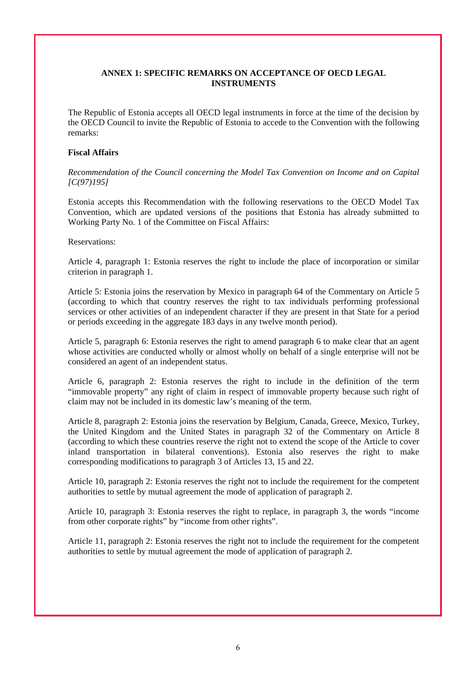### **ANNEX 1: SPECIFIC REMARKS ON ACCEPTANCE OF OECD LEGAL INSTRUMENTS**

The Republic of Estonia accepts all OECD legal instruments in force at the time of the decision by the OECD Council to invite the Republic of Estonia to accede to the Convention with the following remarks:

### **Fiscal Affairs**

*Recommendation of the Council concerning the Model Tax Convention on Income and on Capital [C(97)195]* 

Estonia accepts this Recommendation with the following reservations to the OECD Model Tax Convention, which are updated versions of the positions that Estonia has already submitted to Working Party No. 1 of the Committee on Fiscal Affairs:

Reservations:

Article 4, paragraph 1: Estonia reserves the right to include the place of incorporation or similar criterion in paragraph 1.

Article 5: Estonia joins the reservation by Mexico in paragraph 64 of the Commentary on Article 5 (according to which that country reserves the right to tax individuals performing professional services or other activities of an independent character if they are present in that State for a period or periods exceeding in the aggregate 183 days in any twelve month period).

Article 5, paragraph 6: Estonia reserves the right to amend paragraph 6 to make clear that an agent whose activities are conducted wholly or almost wholly on behalf of a single enterprise will not be considered an agent of an independent status.

Article 6, paragraph 2: Estonia reserves the right to include in the definition of the term "immovable property" any right of claim in respect of immovable property because such right of claim may not be included in its domestic law's meaning of the term.

Article 8, paragraph 2: Estonia joins the reservation by Belgium, Canada, Greece, Mexico, Turkey, the United Kingdom and the United States in paragraph 32 of the Commentary on Article 8 (according to which these countries reserve the right not to extend the scope of the Article to cover inland transportation in bilateral conventions). Estonia also reserves the right to make corresponding modifications to paragraph 3 of Articles 13, 15 and 22.

Article 10, paragraph 2: Estonia reserves the right not to include the requirement for the competent authorities to settle by mutual agreement the mode of application of paragraph 2.

Article 10, paragraph 3: Estonia reserves the right to replace, in paragraph 3, the words "income from other corporate rights" by "income from other rights".

Article 11, paragraph 2: Estonia reserves the right not to include the requirement for the competent authorities to settle by mutual agreement the mode of application of paragraph 2.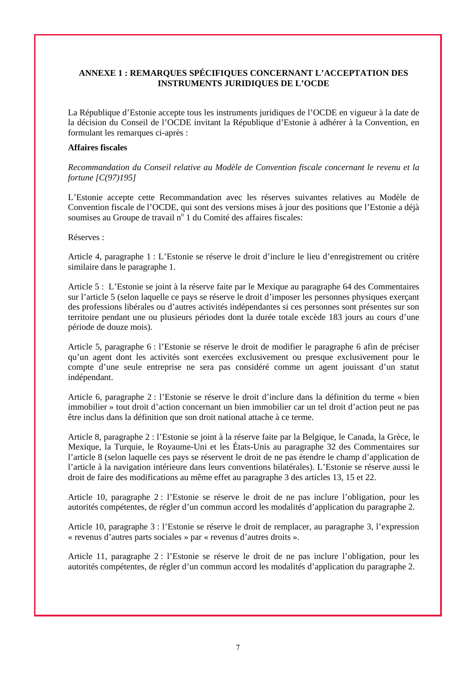### **ANNEXE 1 : REMARQUES SPÉCIFIQUES CONCERNANT L'ACCEPTATION DES INSTRUMENTS JURIDIQUES DE L'OCDE**

La République d'Estonie accepte tous les instruments juridiques de l'OCDE en vigueur à la date de la décision du Conseil de l'OCDE invitant la République d'Estonie à adhérer à la Convention, en formulant les remarques ci-après :

#### **Affaires fiscales**

*Recommandation du Conseil relative au Modèle de Convention fiscale concernant le revenu et la fortune [C(97)195]* 

L'Estonie accepte cette Recommandation avec les réserves suivantes relatives au Modèle de Convention fiscale de l'OCDE, qui sont des versions mises à jour des positions que l'Estonie a déjà soumises au Groupe de travail  $n^{\circ}$  1 du Comité des affaires fiscales:

#### Réserves :

Article 4, paragraphe 1 : L'Estonie se réserve le droit d'inclure le lieu d'enregistrement ou critère similaire dans le paragraphe 1.

Article 5 : L'Estonie se joint à la réserve faite par le Mexique au paragraphe 64 des Commentaires sur l'article 5 (selon laquelle ce pays se réserve le droit d'imposer les personnes physiques exerçant des professions libérales ou d'autres activités indépendantes si ces personnes sont présentes sur son territoire pendant une ou plusieurs périodes dont la durée totale excède 183 jours au cours d'une période de douze mois).

Article 5, paragraphe 6 : l'Estonie se réserve le droit de modifier le paragraphe 6 afin de préciser qu'un agent dont les activités sont exercées exclusivement ou presque exclusivement pour le compte d'une seule entreprise ne sera pas considéré comme un agent jouissant d'un statut indépendant.

Article 6, paragraphe 2 : l'Estonie se réserve le droit d'inclure dans la définition du terme « bien immobilier » tout droit d'action concernant un bien immobilier car un tel droit d'action peut ne pas être inclus dans la définition que son droit national attache à ce terme.

Article 8, paragraphe 2 : l'Estonie se joint à la réserve faite par la Belgique, le Canada, la Grèce, le Mexique, la Turquie, le Royaume-Uni et les États-Unis au paragraphe 32 des Commentaires sur l'article 8 (selon laquelle ces pays se réservent le droit de ne pas étendre le champ d'application de l'article à la navigation intérieure dans leurs conventions bilatérales). L'Estonie se réserve aussi le droit de faire des modifications au même effet au paragraphe 3 des articles 13, 15 et 22.

Article 10, paragraphe 2 : l'Estonie se réserve le droit de ne pas inclure l'obligation, pour les autorités compétentes, de régler d'un commun accord les modalités d'application du paragraphe 2.

Article 10, paragraphe 3 : l'Estonie se réserve le droit de remplacer, au paragraphe 3, l'expression « revenus d'autres parts sociales » par « revenus d'autres droits ».

Article 11, paragraphe 2 : l'Estonie se réserve le droit de ne pas inclure l'obligation, pour les autorités compétentes, de régler d'un commun accord les modalités d'application du paragraphe 2.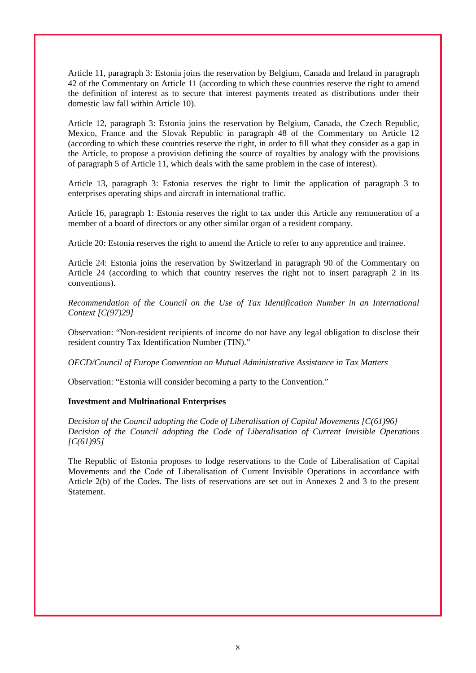Article 11, paragraph 3: Estonia joins the reservation by Belgium, Canada and Ireland in paragraph 42 of the Commentary on Article 11 (according to which these countries reserve the right to amend the definition of interest as to secure that interest payments treated as distributions under their domestic law fall within Article 10).

Article 12, paragraph 3: Estonia joins the reservation by Belgium, Canada, the Czech Republic, Mexico, France and the Slovak Republic in paragraph 48 of the Commentary on Article 12 (according to which these countries reserve the right, in order to fill what they consider as a gap in the Article, to propose a provision defining the source of royalties by analogy with the provisions of paragraph 5 of Article 11, which deals with the same problem in the case of interest).

Article 13, paragraph 3: Estonia reserves the right to limit the application of paragraph 3 to enterprises operating ships and aircraft in international traffic.

Article 16, paragraph 1: Estonia reserves the right to tax under this Article any remuneration of a member of a board of directors or any other similar organ of a resident company.

Article 20: Estonia reserves the right to amend the Article to refer to any apprentice and trainee.

Article 24: Estonia joins the reservation by Switzerland in paragraph 90 of the Commentary on Article 24 (according to which that country reserves the right not to insert paragraph 2 in its conventions).

*Recommendation of the Council on the Use of Tax Identification Number in an International Context [C(97)29]* 

Observation: "Non-resident recipients of income do not have any legal obligation to disclose their resident country Tax Identification Number (TIN)."

*OECD/Council of Europe Convention on Mutual Administrative Assistance in Tax Matters* 

Observation: "Estonia will consider becoming a party to the Convention."

#### **Investment and Multinational Enterprises**

*Decision of the Council adopting the Code of Liberalisation of Capital Movements [C(61)96] Decision of the Council adopting the Code of Liberalisation of Current Invisible Operations [C(61)95]* 

The Republic of Estonia proposes to lodge reservations to the Code of Liberalisation of Capital Movements and the Code of Liberalisation of Current Invisible Operations in accordance with Article 2(b) of the Codes. The lists of reservations are set out in Annexes 2 and 3 to the present Statement.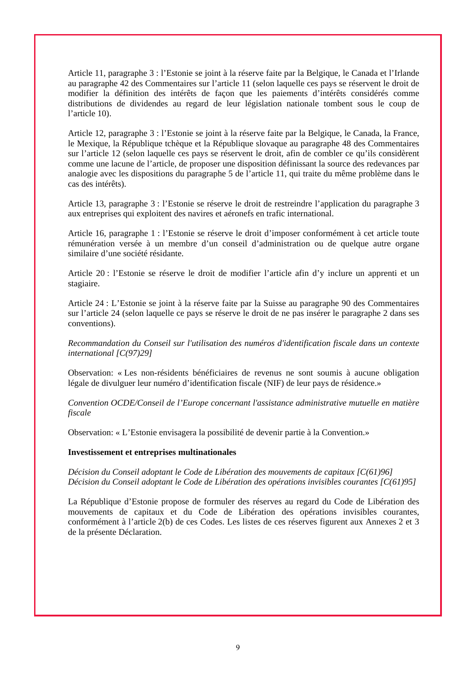Article 11, paragraphe 3 : l'Estonie se joint à la réserve faite par la Belgique, le Canada et l'Irlande au paragraphe 42 des Commentaires sur l'article 11 (selon laquelle ces pays se réservent le droit de modifier la définition des intérêts de façon que les paiements d'intérêts considérés comme distributions de dividendes au regard de leur législation nationale tombent sous le coup de l'article 10).

Article 12, paragraphe 3 : l'Estonie se joint à la réserve faite par la Belgique, le Canada, la France, le Mexique, la République tchèque et la République slovaque au paragraphe 48 des Commentaires sur l'article 12 (selon laquelle ces pays se réservent le droit, afin de combler ce qu'ils considèrent comme une lacune de l'article, de proposer une disposition définissant la source des redevances par analogie avec les dispositions du paragraphe 5 de l'article 11, qui traite du même problème dans le cas des intérêts).

Article 13, paragraphe 3 : l'Estonie se réserve le droit de restreindre l'application du paragraphe 3 aux entreprises qui exploitent des navires et aéronefs en trafic international.

Article 16, paragraphe 1 : l'Estonie se réserve le droit d'imposer conformément à cet article toute rémunération versée à un membre d'un conseil d'administration ou de quelque autre organe similaire d'une société résidante.

Article 20 : l'Estonie se réserve le droit de modifier l'article afin d'y inclure un apprenti et un stagiaire.

Article 24 : L'Estonie se joint à la réserve faite par la Suisse au paragraphe 90 des Commentaires sur l'article 24 (selon laquelle ce pays se réserve le droit de ne pas insérer le paragraphe 2 dans ses conventions).

*Recommandation du Conseil sur l'utilisation des numéros d'identification fiscale dans un contexte international [C(97)29]* 

Observation: « Les non-résidents bénéficiaires de revenus ne sont soumis à aucune obligation légale de divulguer leur numéro d'identification fiscale (NIF) de leur pays de résidence.»

*Convention OCDE/Conseil de l'Europe concernant l'assistance administrative mutuelle en matière fiscale*

Observation: « L'Estonie envisagera la possibilité de devenir partie à la Convention.»

#### **Investissement et entreprises multinationales**

*Décision du Conseil adoptant le Code de Libération des mouvements de capitaux [C(61)96] Décision du Conseil adoptant le Code de Libération des opérations invisibles courantes [C(61)95]* 

La République d'Estonie propose de formuler des réserves au regard du Code de Libération des mouvements de capitaux et du Code de Libération des opérations invisibles courantes, conformément à l'article 2(b) de ces Codes. Les listes de ces réserves figurent aux Annexes 2 et 3 de la présente Déclaration.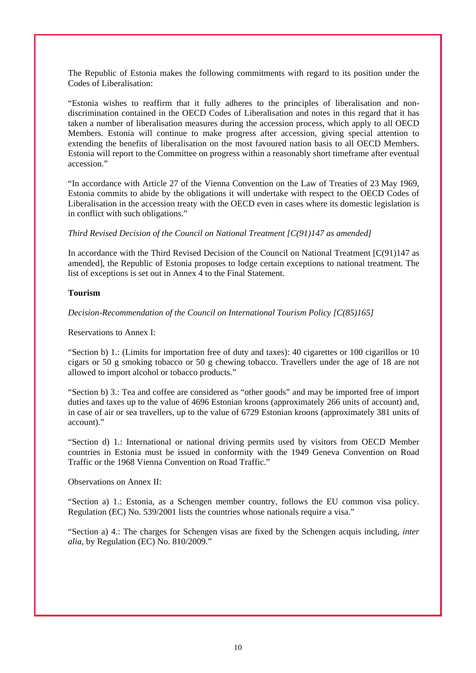The Republic of Estonia makes the following commitments with regard to its position under the Codes of Liberalisation:

"Estonia wishes to reaffirm that it fully adheres to the principles of liberalisation and nondiscrimination contained in the OECD Codes of Liberalisation and notes in this regard that it has taken a number of liberalisation measures during the accession process, which apply to all OECD Members. Estonia will continue to make progress after accession, giving special attention to extending the benefits of liberalisation on the most favoured nation basis to all OECD Members. Estonia will report to the Committee on progress within a reasonably short timeframe after eventual accession"

"In accordance with Article 27 of the Vienna Convention on the Law of Treaties of 23 May 1969, Estonia commits to abide by the obligations it will undertake with respect to the OECD Codes of Liberalisation in the accession treaty with the OECD even in cases where its domestic legislation is in conflict with such obligations."

*Third Revised Decision of the Council on National Treatment [C(91)147 as amended]* 

In accordance with the Third Revised Decision of the Council on National Treatment  $[C(91)147]$  as amended], the Republic of Estonia proposes to lodge certain exceptions to national treatment. The list of exceptions is set out in Annex 4 to the Final Statement.

#### **Tourism**

*Decision-Recommendation of the Council on International Tourism Policy [C(85)165]* 

Reservations to Annex I:

"Section b) 1.: (Limits for importation free of duty and taxes): 40 cigarettes or 100 cigarillos or 10 cigars or 50 g smoking tobacco or 50 g chewing tobacco. Travellers under the age of 18 are not allowed to import alcohol or tobacco products."

"Section b) 3.: Tea and coffee are considered as "other goods" and may be imported free of import duties and taxes up to the value of 4696 Estonian kroons (approximately 266 units of account) and, in case of air or sea travellers, up to the value of 6729 Estonian kroons (approximately 381 units of account)."

"Section d) 1.: International or national driving permits used by visitors from OECD Member countries in Estonia must be issued in conformity with the 1949 Geneva Convention on Road Traffic or the 1968 Vienna Convention on Road Traffic."

Observations on Annex II:

"Section a) 1.: Estonia, as a Schengen member country, follows the EU common visa policy. Regulation (EC) No. 539/2001 lists the countries whose nationals require a visa."

"Section a) 4.: The charges for Schengen visas are fixed by the Schengen acquis including, *inter alia*, by Regulation (EC) No. 810/2009."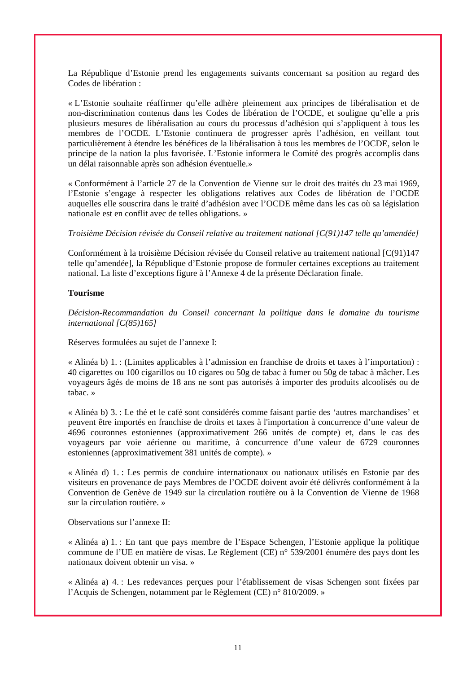La République d'Estonie prend les engagements suivants concernant sa position au regard des Codes de libération :

« L'Estonie souhaite réaffirmer qu'elle adhère pleinement aux principes de libéralisation et de non-discrimination contenus dans les Codes de libération de l'OCDE, et souligne qu'elle a pris plusieurs mesures de libéralisation au cours du processus d'adhésion qui s'appliquent à tous les membres de l'OCDE. L'Estonie continuera de progresser après l'adhésion, en veillant tout particulièrement à étendre les bénéfices de la libéralisation à tous les membres de l'OCDE, selon le principe de la nation la plus favorisée. L'Estonie informera le Comité des progrès accomplis dans un délai raisonnable après son adhésion éventuelle.»

« Conformément à l'article 27 de la Convention de Vienne sur le droit des traités du 23 mai 1969, l'Estonie s'engage à respecter les obligations relatives aux Codes de libération de l'OCDE auquelles elle souscrira dans le traité d'adhésion avec l'OCDE même dans les cas où sa législation nationale est en conflit avec de telles obligations. »

*Troisième Décision révisée du Conseil relative au traitement national [C(91)147 telle qu'amendée]*

Conformément à la troisième Décision révisée du Conseil relative au traitement national [C(91)147 telle qu'amendée], la République d'Estonie propose de formuler certaines exceptions au traitement national. La liste d'exceptions figure à l'Annexe 4 de la présente Déclaration finale.

#### **Tourisme**

*Décision-Recommandation du Conseil concernant la politique dans le domaine du tourisme international [C(85)165]* 

Réserves formulées au sujet de l'annexe I:

« Alinéa b) 1. : (Limites applicables à l'admission en franchise de droits et taxes à l'importation) : 40 cigarettes ou 100 cigarillos ou 10 cigares ou 50g de tabac à fumer ou 50g de tabac à mâcher. Les voyageurs âgés de moins de 18 ans ne sont pas autorisés à importer des produits alcoolisés ou de tabac. »

« Alinéa b) 3. : Le thé et le café sont considérés comme faisant partie des 'autres marchandises' et peuvent être importés en franchise de droits et taxes à l'importation à concurrence d'une valeur de 4696 couronnes estoniennes (approximativement 266 unités de compte) et, dans le cas des voyageurs par voie aérienne ou maritime, à concurrence d'une valeur de 6729 couronnes estoniennes (approximativement 381 unités de compte). »

« Alinéa d) 1. : Les permis de conduire internationaux ou nationaux utilisés en Estonie par des visiteurs en provenance de pays Membres de l'OCDE doivent avoir été délivrés conformément à la Convention de Genève de 1949 sur la circulation routière ou à la Convention de Vienne de 1968 sur la circulation routière. »

Observations sur l'annexe II:

« Alinéa a) 1. : En tant que pays membre de l'Espace Schengen, l'Estonie applique la politique commune de l'UE en matière de visas. Le Règlement (CE) n° 539/2001 énumère des pays dont les nationaux doivent obtenir un visa. »

« Alinéa a) 4. : Les redevances perçues pour l'établissement de visas Schengen sont fixées par l'Acquis de Schengen, notamment par le Règlement (CE) n° 810/2009. »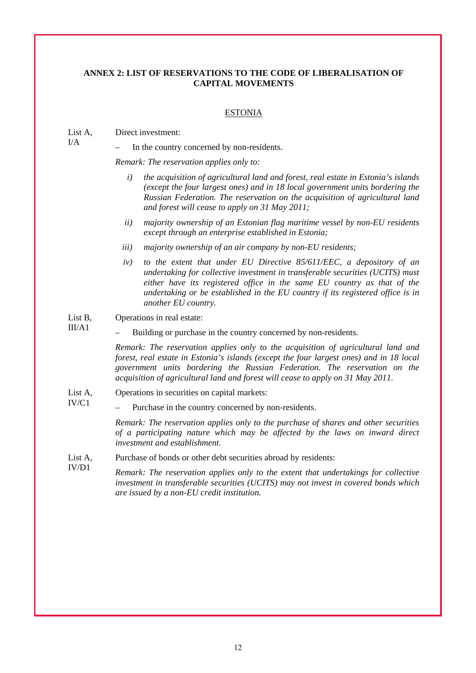#### **ANNEX 2: LIST OF RESERVATIONS TO THE CODE OF LIBERALISATION OF CAPITAL MOVEMENTS**

#### ESTONIA

#### List A, Direct investment:

I/A

In the country concerned by non-residents.

*Remark: The reservation applies only to:* 

- *i) the acquisition of agricultural land and forest, real estate in Estonia's islands (except the four largest ones) and in 18 local government units bordering the Russian Federation. The reservation on the acquisition of agricultural land and forest will cease to apply on 31 May 2011;*
- *ii) majority ownership of an Estonian flag maritime vessel by non-EU residents except through an enterprise established in Estonia;*
- *iii) majority ownership of an air company by non-EU residents;*
- *iv) to the extent that under EU Directive 85/611/EEC, a depository of an undertaking for collective investment in transferable securities (UCITS) must either have its registered office in the same EU country as that of the undertaking or be established in the EU country if its registered office is in another EU country.*
- List B, III/A1 Operations in real estate:
	- Building or purchase in the country concerned by non-residents.

*Remark: The reservation applies only to the acquisition of agricultural land and forest, real estate in Estonia's islands (except the four largest ones) and in 18 local government units bordering the Russian Federation. The reservation on the acquisition of agricultural land and forest will cease to apply on 31 May 2011.*

- List A, Operations in securities on capital markets:
- IV/C1 – Purchase in the country concerned by non-residents.

*Remark: The reservation applies only to the purchase of shares and other securities of a participating nature which may be affected by the laws on inward direct investment and establishment.*

List A, Purchase of bonds or other debt securities abroad by residents:

IV/D1 *Remark: The reservation applies only to the extent that undertakings for collective investment in transferable securities (UCITS) may not invest in covered bonds which are issued by a non-EU credit institution.*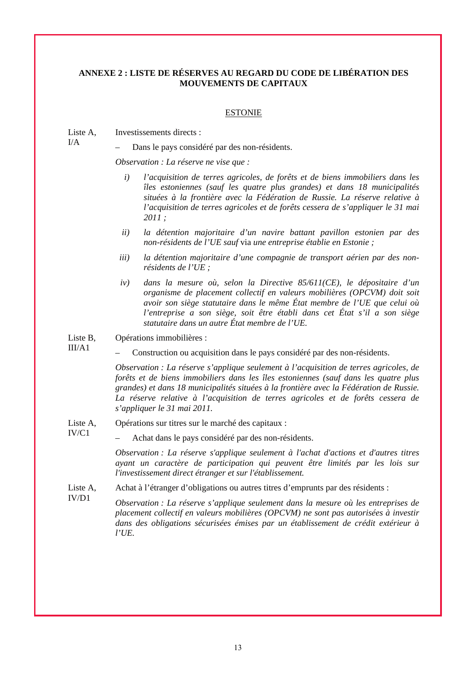### **ANNEXE 2 : LISTE DE RÉSERVES AU REGARD DU CODE DE LIBÉRATION DES MOUVEMENTS DE CAPITAUX**

#### ESTONIE

Liste A, Investissements directs :

I/A

IV/C1

– Dans le pays considéré par des non-résidents.

*Observation : La réserve ne vise que :* 

- *i) l'acquisition de terres agricoles, de forêts et de biens immobiliers dans les îles estoniennes (sauf les quatre plus grandes) et dans 18 municipalités situées à la frontière avec la Fédération de Russie. La réserve relative à l'acquisition de terres agricoles et de forêts cessera de s'appliquer le 31 mai 2011 ;*
- *ii) la détention majoritaire d'un navire battant pavillon estonien par des non-résidents de l'UE sauf* via *une entreprise établie en Estonie ;*
- *iii) la détention majoritaire d'une compagnie de transport aérien par des nonrésidents de l'UE ;*
- *iv) dans la mesure où, selon la Directive 85/611(CE), le dépositaire d'un organisme de placement collectif en valeurs mobilières (OPCVM) doit soit avoir son siège statutaire dans le même État membre de l'UE que celui où l'entreprise a son siège, soit être établi dans cet État s'il a son siège statutaire dans un autre État membre de l'UE.*

Liste B, Opérations immobilières :

 $III/A1$ – Construction ou acquisition dans le pays considéré par des non-résidents.

> *Observation : La réserve s'applique seulement à l'acquisition de terres agricoles, de forêts et de biens immobiliers dans les îles estoniennes (sauf dans les quatre plus grandes) et dans 18 municipalités situées à la frontière avec la Fédération de Russie. La réserve relative à l'acquisition de terres agricoles et de forêts cessera de s'appliquer le 31 mai 2011.*

- Liste A, Opérations sur titres sur le marché des capitaux :
	- Achat dans le pays considéré par des non-résidents.

*Observation : La réserve s'applique seulement à l'achat d'actions et d'autres titres ayant un caractère de participation qui peuvent être limités par les lois sur l'investissement direct étranger et sur l'établissement.*

- Liste A, Achat à l'étranger d'obligations ou autres titres d'emprunts par des résidents :
- IV/D1 *Observation : La réserve s'applique seulement dans la mesure où les entreprises de placement collectif en valeurs mobilières (OPCVM) ne sont pas autorisées à investir dans des obligations sécurisées émises par un établissement de crédit extérieur à l'UE.*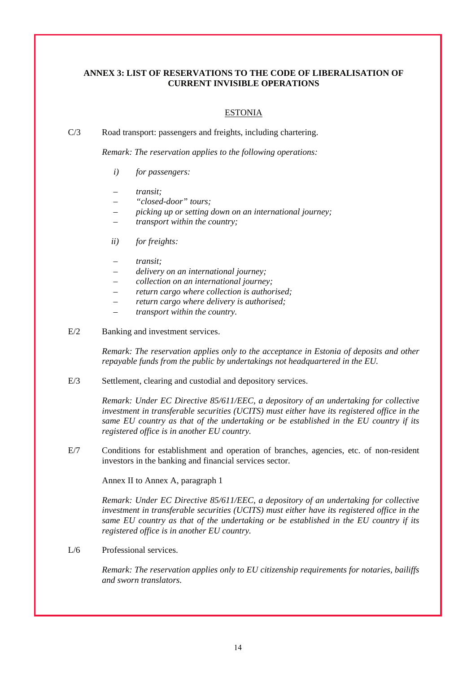### **ANNEX 3: LIST OF RESERVATIONS TO THE CODE OF LIBERALISATION OF CURRENT INVISIBLE OPERATIONS**

#### ESTONIA

C/3 Road transport: passengers and freights, including chartering.

*Remark: The reservation applies to the following operations:* 

- *i) for passengers:*
- *transit;*
- *"closed-door" tours;*
- *picking up or setting down on an international journey;*
- *transport within the country;*
- *ii) for freights:*
- *transit;*
- *delivery on an international journey;*
- *collection on an international journey;*
- *return cargo where collection is authorised;*
- *return cargo where delivery is authorised;*
- *transport within the country.*
- E/2 Banking and investment services.

*Remark: The reservation applies only to the acceptance in Estonia of deposits and other repayable funds from the public by undertakings not headquartered in the EU.*

E/3 Settlement, clearing and custodial and depository services.

*Remark: Under EC Directive 85/611/EEC, a depository of an undertaking for collective investment in transferable securities (UCITS) must either have its registered office in the same EU country as that of the undertaking or be established in the EU country if its registered office is in another EU country.* 

E/7 Conditions for establishment and operation of branches, agencies, etc. of non-resident investors in the banking and financial services sector.

Annex II to Annex A, paragraph 1

*Remark: Under EC Directive 85/611/EEC, a depository of an undertaking for collective investment in transferable securities (UCITS) must either have its registered office in the same EU country as that of the undertaking or be established in the EU country if its registered office is in another EU country.* 

L/6 Professional services.

*Remark: The reservation applies only to EU citizenship requirements for notaries, bailiffs and sworn translators.*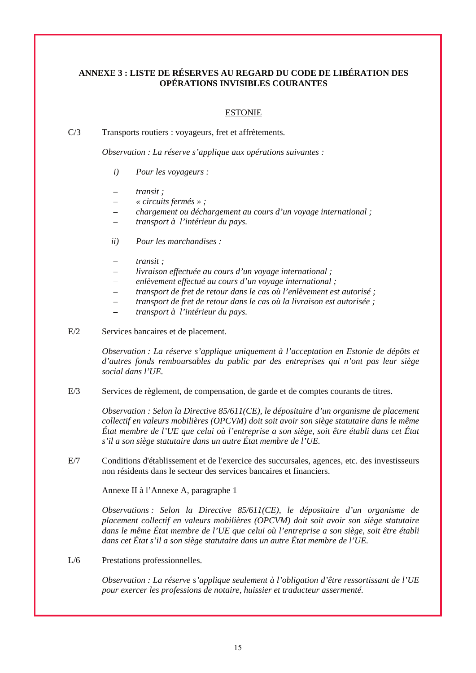### **ANNEXE 3 : LISTE DE RÉSERVES AU REGARD DU CODE DE LIBÉRATION DES OPÉRATIONS INVISIBLES COURANTES**

### ESTONIE

C/3 Transports routiers : voyageurs, fret et affrètements.

*Observation : La réserve s'applique aux opérations suivantes :* 

- *i) Pour les voyageurs :*
- *transit ;*
- *« circuits fermés » ;*
- *chargement ou déchargement au cours d'un voyage international ;*
- *transport à l'intérieur du pays.*
- *ii) Pour les marchandises :*
- *transit ;*
- *livraison effectuée au cours d'un voyage international ;*
- *enlèvement effectué au cours d'un voyage international ;*
- *transport de fret de retour dans le cas où l'enlèvement est autorisé ;*
- *transport de fret de retour dans le cas où la livraison est autorisée ;*
- *transport à l'intérieur du pays.*
- E/2 Services bancaires et de placement.

*Observation : La réserve s'applique uniquement à l'acceptation en Estonie de dépôts et d'autres fonds remboursables du public par des entreprises qui n'ont pas leur siège social dans l'UE.* 

E/3 Services de règlement, de compensation, de garde et de comptes courants de titres.

*Observation : Selon la Directive 85/611(CE), le dépositaire d'un organisme de placement collectif en valeurs mobilières (OPCVM) doit soit avoir son siège statutaire dans le même État membre de l'UE que celui où l'entreprise a son siège, soit être établi dans cet État s'il a son siège statutaire dans un autre État membre de l'UE.* 

E/7 Conditions d'établissement et de l'exercice des succursales, agences, etc. des investisseurs non résidents dans le secteur des services bancaires et financiers.

Annexe II à l'Annexe A, paragraphe 1

*Observations : Selon la Directive 85/611(CE), le dépositaire d'un organisme de placement collectif en valeurs mobilières (OPCVM) doit soit avoir son siège statutaire dans le même État membre de l'UE que celui où l'entreprise a son siège, soit être établi dans cet État s'il a son siège statutaire dans un autre État membre de l'UE.* 

L/6 Prestations professionnelles.

*Observation : La réserve s'applique seulement à l'obligation d'être ressortissant de l'UE pour exercer les professions de notaire, huissier et traducteur assermenté.*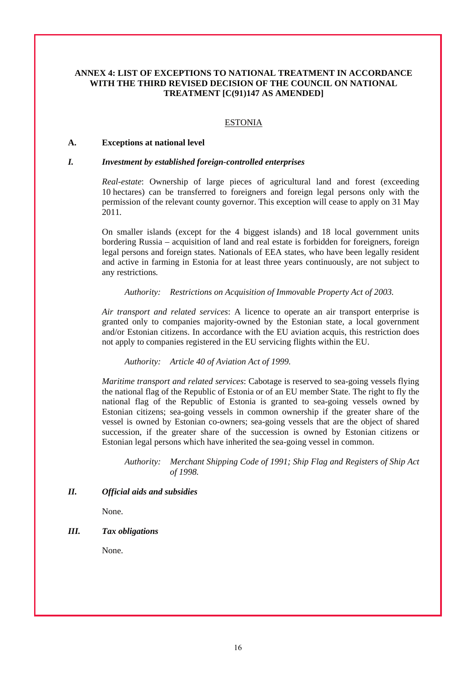### **ANNEX 4: LIST OF EXCEPTIONS TO NATIONAL TREATMENT IN ACCORDANCE WITH THE THIRD REVISED DECISION OF THE COUNCIL ON NATIONAL TREATMENT [C(91)147 AS AMENDED]**

#### ESTONIA

#### **A. Exceptions at national level**

#### *I. Investment by established foreign-controlled enterprises*

*Real-estate*: Ownership of large pieces of agricultural land and forest (exceeding 10 hectares) can be transferred to foreigners and foreign legal persons only with the permission of the relevant county governor. This exception will cease to apply on 31 May 2011*.*

On smaller islands (except for the 4 biggest islands) and 18 local government units bordering Russia – acquisition of land and real estate is forbidden for foreigners, foreign legal persons and foreign states. Nationals of EEA states, who have been legally resident and active in farming in Estonia for at least three years continuously, are not subject to any restrictions*.*

*Authority: Restrictions on Acquisition of Immovable Property Act of 2003.* 

*Air transport and related services*: A licence to operate an air transport enterprise is granted only to companies majority-owned by the Estonian state, a local government and/or Estonian citizens. In accordance with the EU aviation acquis, this restriction does not apply to companies registered in the EU servicing flights within the EU.

*Authority: Article 40 of Aviation Act of 1999.* 

*Maritime transport and related services*: Cabotage is reserved to sea-going vessels flying the national flag of the Republic of Estonia or of an EU member State. The right to fly the national flag of the Republic of Estonia is granted to sea-going vessels owned by Estonian citizens; sea-going vessels in common ownership if the greater share of the vessel is owned by Estonian co-owners; sea-going vessels that are the object of shared succession, if the greater share of the succession is owned by Estonian citizens or Estonian legal persons which have inherited the sea-going vessel in common.

*Authority: Merchant Shipping Code of 1991; Ship Flag and Registers of Ship Act of 1998.* 

#### *II. Official aids and subsidies*

None.

### *III. Tax obligations*

None.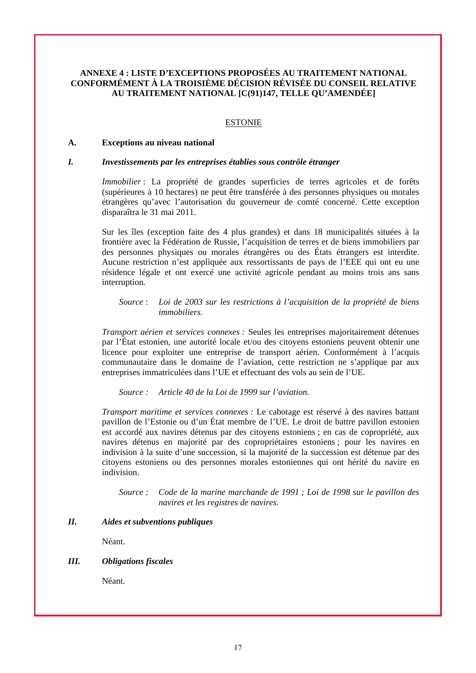### **ANNEXE 4 : LISTE D'EXCEPTIONS PROPOSÉES AU TRAITEMENT NATIONAL CONFORMÉMENT À LA TROISIÈME DÉCISION RÉVISÉE DU CONSEIL RELATIVE AU TRAITEMENT NATIONAL [C(91)147, TELLE QU'AMENDÉE]**

#### ESTONIE

#### **A. Exceptions au niveau national**

#### *I. Investissements par les entreprises établies sous contrôle étranger*

*Immobilier* : La propriété de grandes superficies de terres agricoles et de forêts (supérieures à 10 hectares) ne peut être transférée à des personnes physiques ou morales étrangères qu'avec l'autorisation du gouverneur de comté concerné. Cette exception disparaîtra le 31 mai 2011.

Sur les îles (exception faite des 4 plus grandes) et dans 18 municipalités situées à la frontière avec la Fédération de Russie, l'acquisition de terres et de biens immobiliers par des personnes physiques ou morales étrangères ou des États étrangers est interdite. Aucune restriction n'est appliquée aux ressortissants de pays de l'EEE qui ont eu une résidence légale et ont exercé une activité agricole pendant au moins trois ans sans interruption*.*

#### *Source* : *Loi de 2003 sur les restrictions à l'acquisition de la propriété de biens immobiliers.*

*Transport aérien et services connexes :* Seules les entreprises majoritairement détenues par l'État estonien, une autorité locale et/ou des citoyens estoniens peuvent obtenir une licence pour exploiter une entreprise de transport aérien. Conformément à l'acquis communautaire dans le domaine de l'aviation, cette restriction ne s'applique par aux entreprises immatriculées dans l'UE et effectuant des vols au sein de l'UE.

*Source : Article 40 de la Loi de 1999 sur l'aviation.* 

*Transport maritime et services connexes :* Le cabotage est réservé à des navires battant pavillon de l'Estonie ou d'un État membre de l'UE. Le droit de battre pavillon estonien est accordé aux navires détenus par des citoyens estoniens ; en cas de copropriété, aux navires détenus en majorité par des copropriétaires estoniens ; pour les navires en indivision à la suite d'une succession, si la majorité de la succession est détenue par des citoyens estoniens ou des personnes morales estoniennes qui ont hérité du navire en indivision.

*Source : Code de la marine marchande de 1991 ; Loi de 1998 sur le pavillon des navires et les registres de navires.* 

#### *II. Aides et subventions publiques*

Néant.

#### *III. Obligations fiscales*

Néant.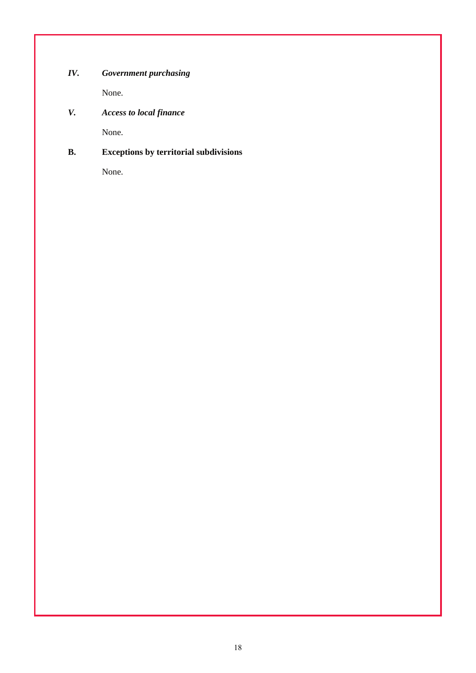# *IV. Government purchasing*

None.

# *V. Access to local finance*

None.

# **B. Exceptions by territorial subdivisions**

None.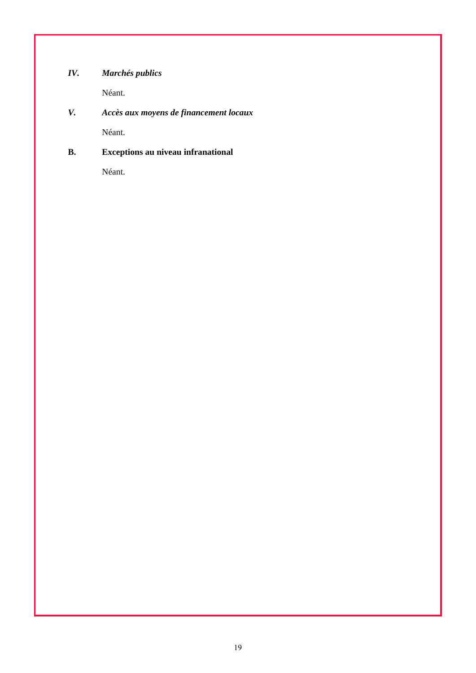# *IV. Marchés publics*

Néant.

# *V. Accès aux moyens de financement locaux*

Néant.

# **B. Exceptions au niveau infranational**

Néant.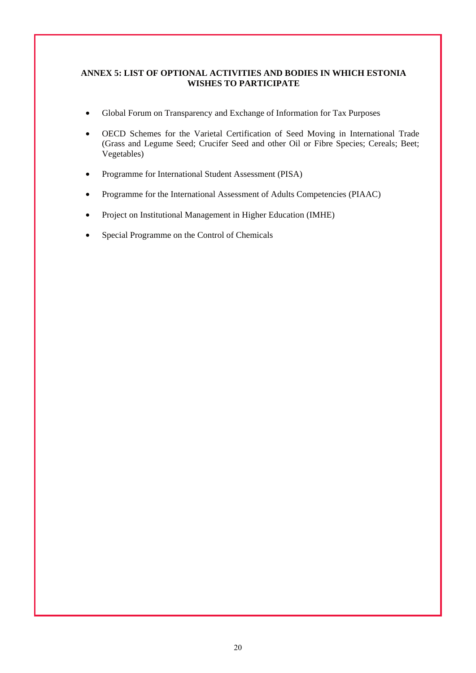### **ANNEX 5: LIST OF OPTIONAL ACTIVITIES AND BODIES IN WHICH ESTONIA WISHES TO PARTICIPATE**

- Global Forum on Transparency and Exchange of Information for Tax Purposes
- OECD Schemes for the Varietal Certification of Seed Moving in International Trade (Grass and Legume Seed; Crucifer Seed and other Oil or Fibre Species; Cereals; Beet; Vegetables)
- Programme for International Student Assessment (PISA)
- Programme for the International Assessment of Adults Competencies (PIAAC)
- Project on Institutional Management in Higher Education (IMHE)
- Special Programme on the Control of Chemicals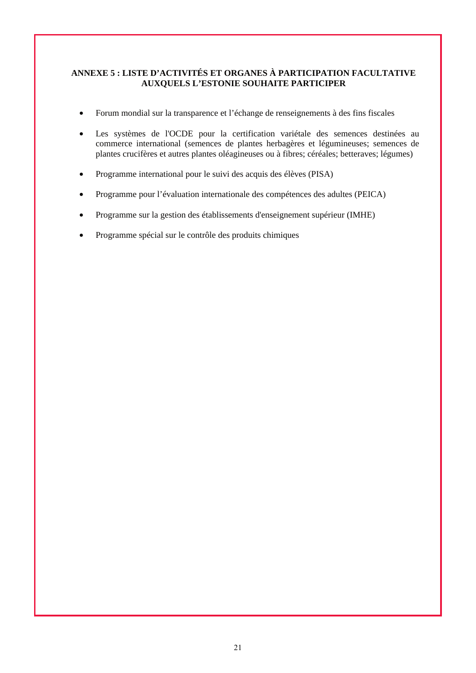### **ANNEXE 5 : LISTE D'ACTIVITÉS ET ORGANES À PARTICIPATION FACULTATIVE AUXQUELS L'ESTONIE SOUHAITE PARTICIPER**

- Forum mondial sur la transparence et l'échange de renseignements à des fins fiscales
- Les systèmes de l'OCDE pour la certification variétale des semences destinées au commerce international (semences de plantes herbagères et légumineuses; semences de plantes crucifères et autres plantes oléagineuses ou à fibres; céréales; betteraves; légumes)
- Programme international pour le suivi des acquis des élèves (PISA)
- Programme pour l'évaluation internationale des compétences des adultes (PEICA)
- Programme sur la gestion des établissements d'enseignement supérieur (IMHE)
- Programme spécial sur le contrôle des produits chimiques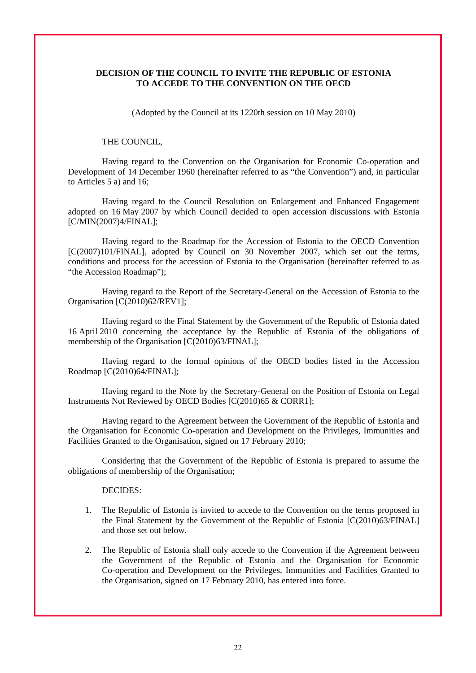#### **DECISION OF THE COUNCIL TO INVITE THE REPUBLIC OF ESTONIA TO ACCEDE TO THE CONVENTION ON THE OECD**

(Adopted by the Council at its 1220th session on 10 May 2010)

#### THE COUNCIL,

Having regard to the Convention on the Organisation for Economic Co-operation and Development of 14 December 1960 (hereinafter referred to as "the Convention") and, in particular to Articles 5 a) and 16;

Having regard to the Council Resolution on Enlargement and Enhanced Engagement adopted on 16 May 2007 by which Council decided to open accession discussions with Estonia [C/MIN(2007)4/FINAL];

Having regard to the Roadmap for the Accession of Estonia to the OECD Convention [C(2007)101/FINAL], adopted by Council on 30 November 2007, which set out the terms, conditions and process for the accession of Estonia to the Organisation (hereinafter referred to as "the Accession Roadmap");

Having regard to the Report of the Secretary-General on the Accession of Estonia to the Organisation [C(2010)62/REV1];

Having regard to the Final Statement by the Government of the Republic of Estonia dated 16 April 2010 concerning the acceptance by the Republic of Estonia of the obligations of membership of the Organisation [C(2010)63/FINAL];

Having regard to the formal opinions of the OECD bodies listed in the Accession Roadmap [C(2010)64/FINAL];

Having regard to the Note by the Secretary-General on the Position of Estonia on Legal Instruments Not Reviewed by OECD Bodies [C(2010)65 & CORR1];

Having regard to the Agreement between the Government of the Republic of Estonia and the Organisation for Economic Co-operation and Development on the Privileges, Immunities and Facilities Granted to the Organisation, signed on 17 February 2010;

Considering that the Government of the Republic of Estonia is prepared to assume the obligations of membership of the Organisation;

#### DECIDES:

- 1. The Republic of Estonia is invited to accede to the Convention on the terms proposed in the Final Statement by the Government of the Republic of Estonia [C(2010)63/FINAL] and those set out below.
- 2. The Republic of Estonia shall only accede to the Convention if the Agreement between the Government of the Republic of Estonia and the Organisation for Economic Co-operation and Development on the Privileges, Immunities and Facilities Granted to the Organisation, signed on 17 February 2010, has entered into force.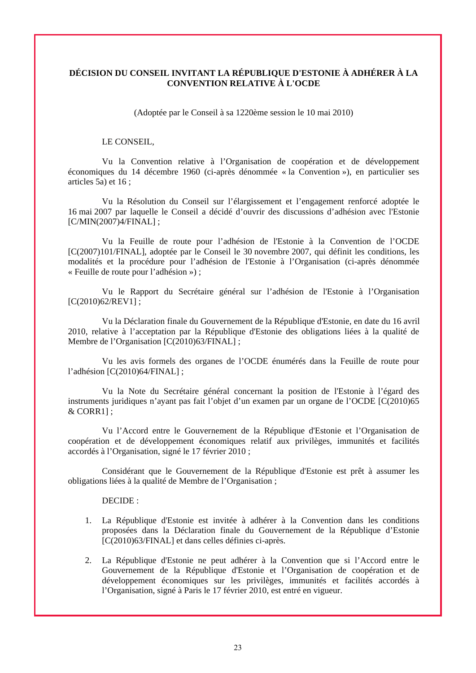## **DÉCISION DU CONSEIL INVITANT LA RÉPUBLIQUE D'ESTONIE À ADHÉRER À LA CONVENTION RELATIVE À L'OCDE**

(Adoptée par le Conseil à sa 1220ème session le 10 mai 2010)

#### LE CONSEIL,

Vu la Convention relative à l'Organisation de coopération et de développement économiques du 14 décembre 1960 (ci-après dénommée « la Convention »), en particulier ses articles 5a) et 16 ;

Vu la Résolution du Conseil sur l'élargissement et l'engagement renforcé adoptée le 16 mai 2007 par laquelle le Conseil a décidé d'ouvrir des discussions d'adhésion avec l'Estonie [C/MIN(2007)4/FINAL] ;

Vu la Feuille de route pour l'adhésion de l'Estonie à la Convention de l'OCDE [C(2007)101/FINAL], adoptée par le Conseil le 30 novembre 2007, qui définit les conditions, les modalités et la procédure pour l'adhésion de l'Estonie à l'Organisation (ci-après dénommée « Feuille de route pour l'adhésion ») ;

Vu le Rapport du Secrétaire général sur l'adhésion de l'Estonie à l'Organisation [C(2010)62/REV1];

Vu la Déclaration finale du Gouvernement de la République d'Estonie, en date du 16 avril 2010, relative à l'acceptation par la République d'Estonie des obligations liées à la qualité de Membre de l'Organisation [C(2010)63/FINAL] ;

Vu les avis formels des organes de l'OCDE énumérés dans la Feuille de route pour l'adhésion [C(2010)64/FINAL] ;

Vu la Note du Secrétaire général concernant la position de l'Estonie à l'égard des instruments juridiques n'ayant pas fait l'objet d'un examen par un organe de l'OCDE [C(2010)65 & CORR1] ;

Vu l'Accord entre le Gouvernement de la République d'Estonie et l'Organisation de coopération et de développement économiques relatif aux privilèges, immunités et facilités accordés à l'Organisation, signé le 17 février 2010 ;

Considérant que le Gouvernement de la République d'Estonie est prêt à assumer les obligations liées à la qualité de Membre de l'Organisation ;

DECIDE :

- 1. La République d'Estonie est invitée à adhérer à la Convention dans les conditions proposées dans la Déclaration finale du Gouvernement de la République d'Estonie [C(2010)63/FINAL] et dans celles définies ci-après.
- 2. La République d'Estonie ne peut adhérer à la Convention que si l'Accord entre le Gouvernement de la République d'Estonie et l'Organisation de coopération et de développement économiques sur les privilèges, immunités et facilités accordés à l'Organisation, signé à Paris le 17 février 2010, est entré en vigueur.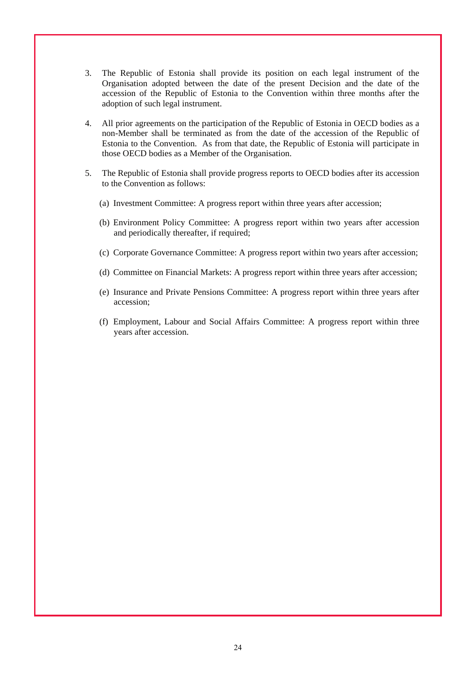- 3. The Republic of Estonia shall provide its position on each legal instrument of the Organisation adopted between the date of the present Decision and the date of the accession of the Republic of Estonia to the Convention within three months after the adoption of such legal instrument.
- 4. All prior agreements on the participation of the Republic of Estonia in OECD bodies as a non-Member shall be terminated as from the date of the accession of the Republic of Estonia to the Convention. As from that date, the Republic of Estonia will participate in those OECD bodies as a Member of the Organisation.
- 5. The Republic of Estonia shall provide progress reports to OECD bodies after its accession to the Convention as follows:
	- (a) Investment Committee: A progress report within three years after accession;
	- (b) Environment Policy Committee: A progress report within two years after accession and periodically thereafter, if required;
	- (c) Corporate Governance Committee: A progress report within two years after accession;
	- (d) Committee on Financial Markets: A progress report within three years after accession;
	- (e) Insurance and Private Pensions Committee: A progress report within three years after accession;
	- (f) Employment, Labour and Social Affairs Committee: A progress report within three years after accession.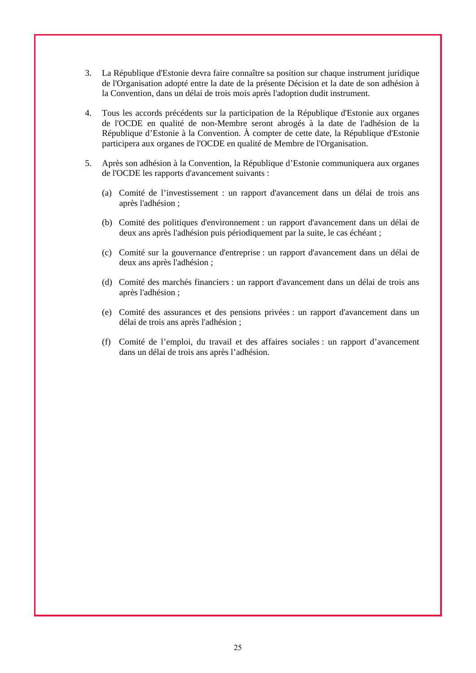- 3. La République d'Estonie devra faire connaître sa position sur chaque instrument juridique de l'Organisation adopté entre la date de la présente Décision et la date de son adhésion à la Convention, dans un délai de trois mois après l'adoption dudit instrument.
- 4. Tous les accords précédents sur la participation de la République d'Estonie aux organes de l'OCDE en qualité de non-Membre seront abrogés à la date de l'adhésion de la République d'Estonie à la Convention. À compter de cette date, la République d'Estonie participera aux organes de l'OCDE en qualité de Membre de l'Organisation.
- 5. Après son adhésion à la Convention, la République d'Estonie communiquera aux organes de l'OCDE les rapports d'avancement suivants :
	- (a) Comité de l'investissement : un rapport d'avancement dans un délai de trois ans après l'adhésion ;
	- (b) Comité des politiques d'environnement : un rapport d'avancement dans un délai de deux ans après l'adhésion puis périodiquement par la suite, le cas échéant ;
	- (c) Comité sur la gouvernance d'entreprise : un rapport d'avancement dans un délai de deux ans après l'adhésion ;
	- (d) Comité des marchés financiers : un rapport d'avancement dans un délai de trois ans après l'adhésion ;
	- (e) Comité des assurances et des pensions privées : un rapport d'avancement dans un délai de trois ans après l'adhésion ;
	- (f) Comité de l'emploi, du travail et des affaires sociales : un rapport d'avancement dans un délai de trois ans après l'adhésion.